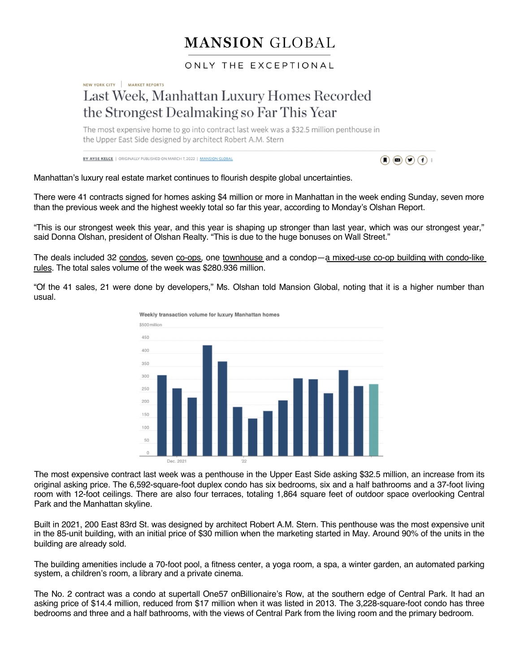## **MANSION GLOBAL**

## ONLY THE EXCEPTIONAL

## NEW YORK CITY | MARKET REPORTS Last Week, Manhattan Luxury Homes Recorded the Strongest Dealmaking so Far This Year

The most expensive home to go into contract last week was a \$32.5 million penthouse in the Upper East Side designed by architect Robert A.M. Stern

**BY AYSE KELCE | ORIGINALLY PUBLISHED ON MARCH 7, 2022 | MANSION GLOBAL** 



Manhattan's luxury real estate market continues to flourish despite global uncertainties.

There were 41 contracts signed for homes asking \$4 million or more in Manhattan in the week ending Sunday, seven more than the previous week and the highest weekly total so far this year, according to Monday's Olshan Report.

"This is our strongest week this year, and this year is shaping up stronger than last year, which was our strongest year," said Donna Olshan, president of Olshan Realty. "This is due to the huge bonuses on Wall Street."

The deals included [32](https://www.mansionglobal.com/library/condominium) condos, s[even](https://www.mansionglobal.com/library/co-op-cooperative) co-ops, one [townhouse](https://www.mansionglobal.com/library/condop) and a condop—a mixed-use co-op building with condo-like rules. The total sales volume of the week was \$280.936 million.

"Of the 41 sales, 21 were done by developers," Ms. Olshan told Mansion Global, noting that it is a higher number than usual.



The most expensive contract last week was a penthouse in the Upper East Side asking \$32.5 million, an increase from its original asking price. The 6,592-square-foot duplex condo has six bedrooms, six and a half bathrooms and a 37-foot living room with 12-foot ceilings. There are also four terraces, totaling 1,864 square feet of outdoor space overlooking Central Park and the Manhattan skyline.

Built in 2021, 200 East 83rd St. was designed by architect Robert A.M. Stern. This penthouse was the most expensive unit in the 85-unit building, with an initial price of \$30 million when the marketing started in May. Around 90% of the units in the building are already sold.

The building amenities include a 70-foot pool, a fitness center, a yoga room, a spa, a winter garden, an automated parking system, a children's room, a library and a private cinema.

The No. 2 contract was a condo at supertall One57 onBillionaire's Row, at the southern edge of Central Park. It had an asking price of \$14.4 million, reduced from \$17 million when it was listed in 2013. The 3,228-square-foot condo has three bedrooms and three and a half bathrooms, with the views of Central Park from the living room and the primary bedroom.